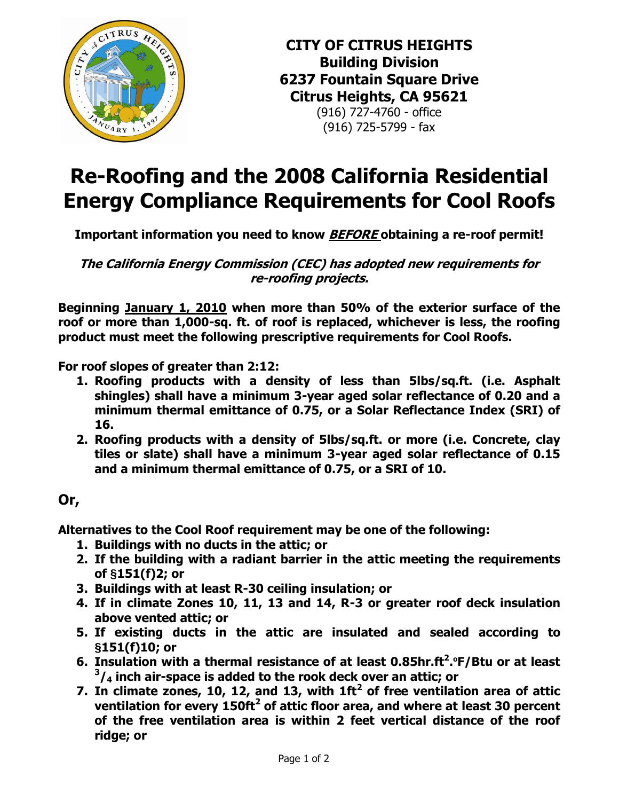

**CITY OF CITRUS HEIGHTS Building Division 6237 Fountain Square Drive Citrus Heights, CA 95621** (916) 727-4760 - office (916) 725-5799 - fax

## **Re-Roofing and the 2008 California Residential Energy Compliance Requirements for Cool Roofs**

**Important information you need to know BEFORE obtaining a re-roof permit!**

**The California Energy Commission (CEC) has adopted new requirements for re-roofing projects.**

**Beginning January 1, 2010 when more than 50% of the exterior surface of the roof or more than 1,000-sq. ft. of roof is replaced, whichever is less, the roofing product must meet the following prescriptive requirements for Cool Roofs.** 

**For roof slopes of greater than 2:12:**

- **1. Roofing products with a density of less than 5lbs/sq.ft. (i.e. Asphalt shingles) shall have a minimum 3-year aged solar reflectance of 0.20 and a minimum thermal emittance of 0.75, or a Solar Reflectance Index (SRI) of 16.**
- **2. Roofing products with a density of 5lbs/sq.ft. or more (i.e. Concrete, clay tiles or slate) shall have a minimum 3-year aged solar reflectance of 0.15 and a minimum thermal emittance of 0.75, or a SRI of 10.**

## **Or,**

**Alternatives to the Cool Roof requirement may be one of the following:**

- **1. Buildings with no ducts in the attic; or**
- **2. If the building with a radiant barrier in the attic meeting the requirements of §151(f)2; or**
- **3. Buildings with at least R-30 ceiling insulation; or**
- **4. If in climate Zones 10, 11, 13 and 14, R-3 or greater roof deck insulation above vented attic; or**
- **5. If existing ducts in the attic are insulated and sealed according to §151(f)10; or**
- **6. Insulation with a thermal resistance of at least 0.85hr.ft<sup>2</sup> .ºF/Btu or at least 3 /<sup>4</sup> inch air-space is added to the rook deck over an attic; or**
- **7. In climate zones, 10, 12, and 13, with 1ft<sup>2</sup> of free ventilation area of attic ventilation for every 150ft<sup>2</sup> of attic floor area, and where at least 30 percent of the free ventilation area is within 2 feet vertical distance of the roof ridge; or**